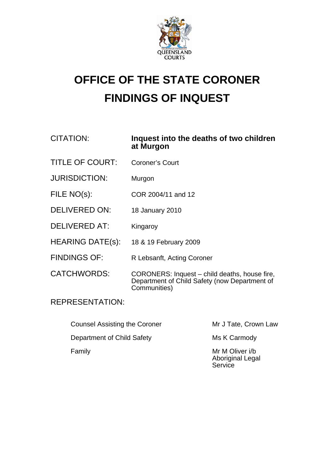

## **OFFICE OF THE STATE CORONER FINDINGS OF INQUEST**

## CITATION: **Inquest into the deaths of two children at Murgon**

- TITLE OF COURT: Coroner's Court
- JURISDICTION: Murgon
- FILE NO(s): COR 2004/11 and 12
- DELIVERED ON: 18 January 2010
- DELIVERED AT: Kingaroy
- HEARING DATE(s): 18 & 19 February 2009
- FINDINGS OF: R Lebsanft, Acting Coroner
- CATCHWORDS: CORONERS: Inquest child deaths, house fire, Department of Child Safety (now Department of Communities)

## REPRESENTATION:

| <b>Counsel Assisting the Coroner</b> | Mr J Tate, Crown Law                                  |
|--------------------------------------|-------------------------------------------------------|
| Department of Child Safety           | Ms K Carmody                                          |
| Family                               | Mr M Oliver i/b<br><b>Aboriginal Legal</b><br>Service |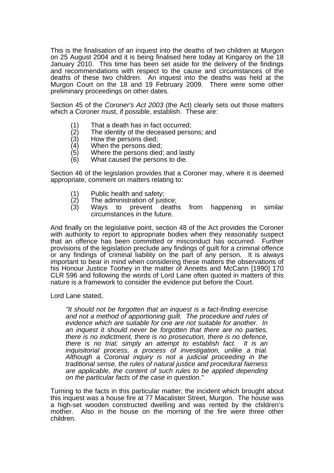This is the finalisation of an inquest into the deaths of two children at Murgon on 25 August 2004 and it is being finalised here today at Kingaroy on the 18 January 2010. This time has been set aside for the delivery of the findings and recommendations with respect to the cause and circumstances of the deaths of these two children. An inquest into the deaths was held at the Murgon Court on the 18 and 19 February 2009. There were some other preliminary proceedings on other dates.

Section 45 of the *Coroner's Act 2003* (the Act) clearly sets out those matters which a Coroner must, if possible, establish. These are:

- 
- $(1)$  That a death has in fact occurred;<br> $(2)$  The identity of the deceased perso  $\overline{c}(2)$  The identity of the deceased persons; and  $\overline{c}(3)$  How the persons died;
- (3) How the persons died;<br>(4) When the persons died
- When the persons died;
- (5) Where the persons died; and lastly
- (6) What caused the persons to die.

Section 46 of the legislation provides that a Coroner may, where it is deemed appropriate, comment on matters relating to:

- 
- (1) Public health and safety;<br>(2) The administration of jus<br>(3) Ways to prevent d
- The administration of justice;<br>Ways to prevent deaths from happening in similar circumstances in the future.

And finally on the legislative point, section 48 of the Act provides the Coroner with authority to report to appropriate bodies when they reasonably suspect that an offence has been committed or misconduct has occurred. Further provisions of the legislation preclude any findings of guilt for a criminal offence or any findings of criminal liability on the part of any person. It is always important to bear in mind when considering these matters the observations of his Honour Justice Toohey in the matter of Annetts and McCann [1990] 170 CLR 596 and following the words of Lord Lane often quoted in matters of this nature is a framework to consider the evidence put before the Court.

Lord Lane stated,

*"It should not be forgotten that an inquest is a fact-finding exercise and not a method of apportioning guilt. The procedure and rules of evidence which are suitable for one are not suitable for another. In an inquest it should never be forgotten that there are no parties, there is no indictment, there is no prosecution, there is no defence, there is no trial; simply an attempt to establish fact. It is an inquisitorial process, a process of investigation, unlike a trial. Although a Coronial inquiry is not a judicial proceeding in the traditional sense, the rules of natural justice and procedural fairness are applicable, the content of such rules to be applied depending on the particular facts of the case in question."* 

Turning to the facts in this particular matter; the incident which brought about this inquest was a house fire at 77 Macalister Street, Murgon. The house was a high-set wooden constructed dwelling and was rented by the children's mother. Also in the house on the morning of the fire were three other children.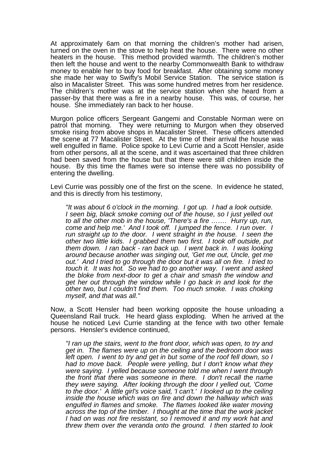At approximately 6am on that morning the children's mother had arisen, turned on the oven in the stove to help heat the house. There were no other heaters in the house. This method provided warmth. The children's mother then left the house and went to the nearby Commonwealth Bank to withdraw money to enable her to buy food for breakfast. After obtaining some money she made her way to Swifty's Mobil Service Station. The service station is also in Macalister Street. This was some hundred metres from her residence. The children's mother was at the service station when she heard from a passer-by that there was a fire in a nearby house. This was, of course, her house. She immediately ran back to her house.

Murgon police officers Sergeant Gangemi and Constable Norman were on patrol that morning. They were returning to Murgon when they observed smoke rising from above shops in Macalister Street. These officers attended the scene at 77 Macalister Street. At the time of their arrival the house was well engulfed in flame. Police spoke to Levi Currie and a Scott Hensler, aside from other persons, all at the scene, and it was ascertained that three children had been saved from the house but that there were still children inside the house. By this time the flames were so intense there was no possibility of entering the dwelling.

Levi Currie was possibly one of the first on the scene. In evidence he stated, and this is directly from his testimony,

*"It was about 6 o'clock in the morning. I got up. I had a look outside. I seen big, black smoke coming out of the house, so I just yelled out to all the other mob in the house, 'There's a fire ……. Hurry up, run, come and help me.' And I took off. I jumped the fence. I run over. I run straight up to the door. I went straight in the house. I seen the other two little kids. I grabbed them two first. I took off outside, put them down. I ran back - ran back up. I went back in. I was looking around because another was singing out, 'Get me out, Uncle, get me out.' And I tried to go through the door but it was all on fire. I tried to touch it. It was hot. So we had to go another way. I went and asked the bloke from next-door to get a chair and smash the window and get her out through the window while I go back in and look for the other two, but I couldn't find them. Too much smoke. I was choking myself, and that was all."* 

Now, a Scott Hensler had been working opposite the house unloading a Queensland Rail truck. He heard glass exploding. When he arrived at the house he noticed Levi Currie standing at the fence with two other female persons. Hensler's evidence continued,

*"I ran up the stairs, went to the front door, which was open, to try and get in. The flames were up on the ceiling and the bedroom door was left open. I went to try and get in but some of the roof fell down, so I had to move back. People were yelling, but I don't know what they were saying. I yelled because someone told me when I went through the front that there was someone in there. I don't recall the name they were saying. After looking through the door I yelled out, 'Come to the door.' A little girl's voice said, 'I can't.' I looked up to the ceiling inside the house which was on fire and down the hallway which was engulfed in flames and smoke. The flames looked like water moving across the top of the timber. I thought at the time that the work jacket I had on was not fire resistant, so I removed it and my work hat and threw them over the veranda onto the ground. I then started to look*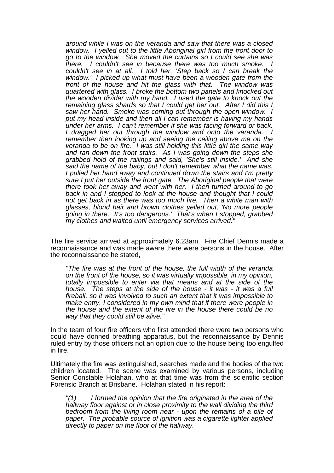*around while I was on the veranda and saw that there was a closed window. I yelled out to the little Aboriginal girl from the front door to go to the window. She moved the curtains so I could see she was there.* I couldn't see in because there was too much smoke. *couldn't see in at all. I told her, 'Step back so I can break the window.' I picked up what must have been a wooden gate from the front of the house and hit the glass with that. The window was quartered with glass. I broke the bottom two panels and knocked out the wooden divider with my hand. I used the gate to knock out the remaining glass shards so that I could get her out. After I did this I saw her hand. Smoke was coming out through the open window. I put my head inside and then all I can remember is having my hands under her arms. I can't remember if she was facing forward or back. I dragged her out through the window and onto the veranda. I remember then looking up and seeing the ceiling above me on the veranda to be on fire. I was still holding this little girl the same way and ran down the front stairs. As I was going down the steps she grabbed hold of the railings and said, 'She's still inside.' And she said the name of the baby, but I don't remember what the name was. I pulled her hand away and continued down the stairs and I'm pretty sure I put her outside the front gate. The Aboriginal people that were there took her away and went with her. I then turned around to go back in and I stopped to look at the house and thought that I could not get back in as there was too much fire. Then a white man with glasses, blond hair and brown clothes yelled out, 'No more people going in there. It's too dangerous.' That's when I stopped, grabbed my clothes and waited until emergency services arrived."* 

The fire service arrived at approximately 6.23am. Fire Chief Dennis made a reconnaissance and was made aware there were persons in the house. After the reconnaissance he stated,

*"The fire was at the front of the house, the full width of the veranda on the front of the house, so it was virtually impossible, in my opinion, totally impossible to enter via that means and at the side of the house. The steps at the side of the house - it was - it was a full fireball, so it was involved to such an extent that it was impossible to make entry. I considered in my own mind that if there were people in the house and the extent of the fire in the house there could be no way that they could still be alive."*

In the team of four fire officers who first attended there were two persons who could have donned breathing apparatus, but the reconnaissance by Dennis ruled entry by those officers not an option due to the house being too engulfed in fire.

Ultimately the fire was extinguished, searches made and the bodies of the two children located. The scene was examined by various persons, including Senior Constable Holahan, who at that time was from the scientific section Forensic Branch at Brisbane. Holahan stated in his report:

*"(1) I formed the opinion that the fire originated in the area of the hallway floor against or in close proximity to the wall dividing the third bedroom from the living room near - upon the remains of a pile of paper. The probable source of ignition was a cigarette lighter applied directly to paper on the floor of the hallway.*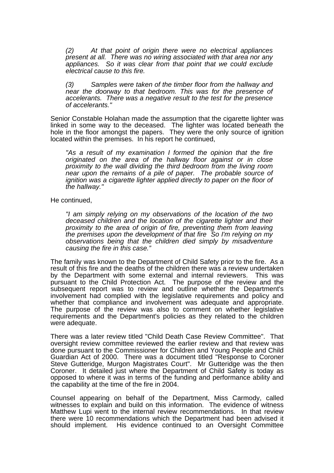*(2) At that point of origin there were no electrical appliances present at all. There was no wiring associated with that area nor any appliances. So it was clear from that point that we could exclude electrical cause to this fire.* 

*(3) Samples were taken of the timber floor from the hallway and near the doorway to that bedroom. This was for the presence of accelerants. There was a negative result to the test for the presence of accelerants."* 

Senior Constable Holahan made the assumption that the cigarette lighter was linked in some way to the deceased. The lighter was located beneath the hole in the floor amongst the papers. They were the only source of ignition located within the premises. In his report he continued,

*"As a result of my examination I formed the opinion that the fire originated on the area of the hallway floor against or in close proximity to the wall dividing the third bedroom from the living room near upon the remains of a pile of paper. The probable source of ignition was a cigarette lighter applied directly to paper on the floor of the hallway."* 

He continued,

*"I am simply relying on my observations of the location of the two deceased children and the location of the cigarette lighter and their proximity to the area of origin of fire, preventing them from leaving the premises upon the development of that fire So I'm relying on my observations being that the children died simply by misadventure causing the fire in this case."* 

The family was known to the Department of Child Safety prior to the fire. As a result of this fire and the deaths of the children there was a review undertaken by the Department with some external and internal reviewers. This was pursuant to the Child Protection Act. The purpose of the review and the subsequent report was to review and outline whether the Department's involvement had complied with the legislative requirements and policy and whether that compliance and involvement was adequate and appropriate. The purpose of the review was also to comment on whether legislative requirements and the Department's policies as they related to the children were adequate.

There was a later review titled "Child Death Case Review Committee". That oversight review committee reviewed the earlier review and that review was done pursuant to the Commissioner for Children and Young People and Child Guardian Act of 2000. There was a document titled "Response to Coroner Steve Gutteridge, Murgon Magistrates Court". Mr Gutteridge was the then Coroner. It detailed just where the Department of Child Safety is today as opposed to where it was in terms of the funding and performance ability and the capability at the time of the fire in 2004.

Counsel appearing on behalf of the Department, Miss Carmody, called witnesses to explain and build on this information. The evidence of witness Matthew Lupi went to the internal review recommendations. In that review there were 10 recommendations which the Department had been advised it should implement. His evidence continued to an Oversight Committee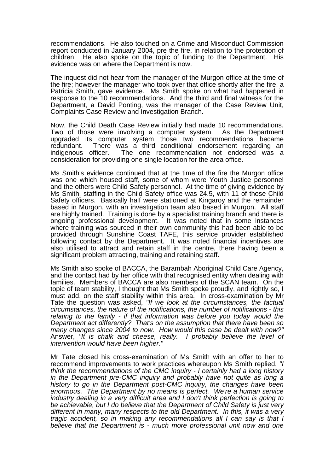recommendations. He also touched on a Crime and Misconduct Commission report conducted in January 2004, pre the fire, in relation to the protection of children. He also spoke on the topic of funding to the Department. His evidence was on where the Department is now.

The inquest did not hear from the manager of the Murgon office at the time of the fire; however the manager who took over that office shortly after the fire, a Patricia Smith, gave evidence. Ms Smith spoke on what had happened in response to the 10 recommendations. And the third and final witness for the Department, a David Ponting, was the manager of the Case Review Unit, Complaints Case Review and Investigation Branch.

Now, the Child Death Case Review initially had made 10 recommendations. Two of those were involving a computer system. As the Department upgraded its computer system those two recommendations became redundant. There was a third conditional endorsement regarding an indigenous officer. The one recommendation not endorsed was a consideration for providing one single location for the area office.

Ms Smith's evidence continued that at the time of the fire the Murgon office was one which housed staff, some of whom were Youth Justice personnel and the others were Child Safety personnel. At the time of giving evidence by Ms Smith, staffing in the Child Safety office was 24.5, with 11 of those Child Safety officers. Basically half were stationed at Kingaroy and the remainder based in Murgon, with an investigation team also based in Murgon. All staff are highly trained. Training is done by a specialist training branch and there is ongoing professional development. It was noted that in some instances where training was sourced in their own community this had been able to be provided through Sunshine Coast TAFE, this service provider established following contact by the Department. It was noted financial incentives are also utilised to attract and retain staff in the centre, there having been a significant problem attracting, training and retaining staff.

Ms Smith also spoke of BACCA, the Barambah Aboriginal Child Care Agency, and the contact had by her office with that recognised entity when dealing with families. Members of BACCA are also members of the SCAN team. On the topic of team stability, I thought that Ms Smith spoke proudly, and rightly so, I must add, on the staff stability within this area. In cross-examination by Mr Tate the question was asked, *"If we look at the circumstances, the factual circumstances, the nature of the notifications, the number of notifications - this relating to the family - if that information was before you today would the Department act differently? That's on the assumption that there have been so many changes since 2004 to now. How would this case be dealt with now?"* Answer, *"It is chalk and cheese, really. I probably believe the level of intervention would have been higher."*

Mr Tate closed his cross-examination of Ms Smith with an offer to her to recommend improvements to work practices whereupon Ms Smith replied, *"I think the recommendations of the CMC inquiry - I certainly had a long history in the Department pre-CMC inquiry and probably have not quite as long a*  history to go in the Department post-CMC inquiry, the changes have been *enormous. The Department by no means is perfect. We're a human service industry dealing in a very difficult area and I don't think perfection is going to be achievable, but I do believe that the Department of Child Safety is just very different in many, many respects to the old Department. In this, it was a very tragic accident, so in making any recommendations all I can say is that I believe that the Department is - much more professional unit now and one*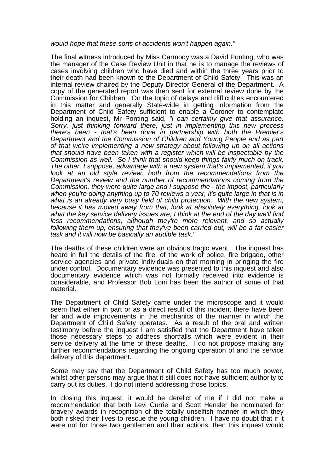## *would hope that these sorts of accidents won't happen again."*

The final witness introduced by Miss Carmody was a David Ponting, who was the manager of the Case Review Unit in that he is to manage the reviews of cases involving children who have died and within the three years prior to their death had been known to the Department of Child Safety. This was an internal review chaired by the Deputy Director General of the Department. A copy of the generated report was then sent for external review done by the Commission for Children. On the topic of delays and difficulties encountered in this matter and generally State-wide in getting information from the Department of Child Safety sufficient to enable a Coroner to contemplate holding an inquest, Mr Ponting said, *"I can certainly give that assurance. Sorry, just thinking forward there, just in implementing this new process there's been - that's been done in partnership with both the Premier's Department and the Commission of Children and Young People and as part of that we're implementing a new strategy about following up on all actions that should have been taken with a register which will be inspectable by the Commission as well. So I think that should keep things fairly much on track. The other, I suppose, advantage with a new system that's implemented, if you*  look at an old style review, both from the recommendations from the *Department's review and the number of recommendations coming from the Commission, they were quite large and I suppose the - the impost, particularly when you're doing anything up to 70 reviews a year, it's quite large in that is in what is an already very busy field of child protection. With the new system, because it has moved away from that, look at absolutely everything, look at what the key service delivery issues are, I think at the end of the day we'll find less recommendations, although they're more relevant, and so actually following them up, ensuring that they've been carried out, will be a far easier task and it will now be basically an audible task."* 

The deaths of these children were an obvious tragic event. The inquest has heard in full the details of the fire, of the work of police, fire brigade, other service agencies and private individuals on that morning in bringing the fire under control. Documentary evidence was presented to this inquest and also documentary evidence which was not formally received into evidence is considerable, and Professor Bob Loni has been the author of some of that material.

The Department of Child Safety came under the microscope and it would seem that either in part or as a direct result of this incident there have been far and wide improvements in the mechanics of the manner in which the Department of Child Safety operates. As a result of the oral and written testimony before the inquest I am satisfied that the Department have taken those necessary steps to address shortfalls which were evident in their service delivery at the time of these deaths. I do not propose making any further recommendations regarding the ongoing operation of and the service delivery of this department.

Some may say that the Department of Child Safety has too much power, whilst other persons may argue that it still does not have sufficient authority to carry out its duties. I do not intend addressing those topics.

In closing this inquest, it would be derelict of me if I did not make a recommendation that both Levi Currie and Scott Hensler be nominated for bravery awards in recognition of the totally unselfish manner in which they both risked their lives to rescue the young children. I have no doubt that if it were not for those two gentlemen and their actions, then this inquest would